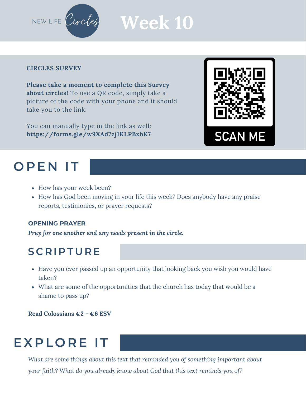

# **Week 10**

#### **CIRCLES SURVEY**

**Please take a moment to complete this Survey about circles!** To use a QR code, simply take a picture of the code with your phone and it should take you to the link.

You can manually type in the link as well: **https://forms.gle/w9XAd7zj1KLPBxbK7**

### **O P E N I T**

- How has your week been?
- How has God been moving in your life this week? Does anybody have any praise reports, testimonies, or prayer requests?

#### **OPENING PRAYER**

*Pray for one another and any needs present in the circle.*

#### **S C R I P T U R E**

- Have you ever passed up an opportunity that looking back you wish you would have taken?
- What are some of the opportunities that the church has today that would be a shame to pass up?

**Read Colossians 4:2 - 4:6 ESV**

### **EXPLORE IT**

*What are some things about this text that reminded you of something important about your faith? What do you already know about God that this text reminds you of?*